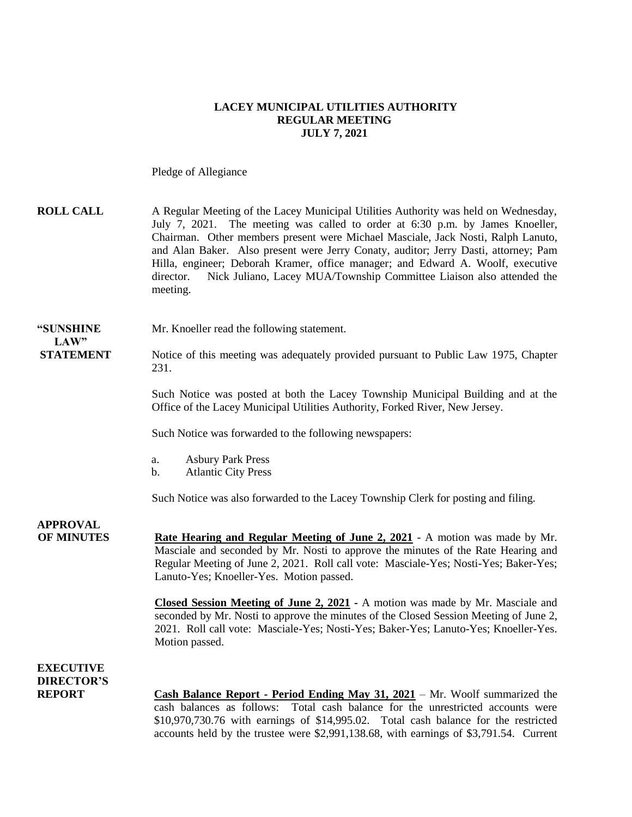### **LACEY MUNICIPAL UTILITIES AUTHORITY REGULAR MEETING JULY 7, 2021**

Pledge of Allegiance

| <b>ROLL CALL</b>                                       | A Regular Meeting of the Lacey Municipal Utilities Authority was held on Wednesday,<br>July 7, 2021. The meeting was called to order at 6:30 p.m. by James Knoeller,<br>Chairman. Other members present were Michael Masciale, Jack Nosti, Ralph Lanuto,<br>and Alan Baker. Also present were Jerry Conaty, auditor; Jerry Dasti, attorney; Pam<br>Hilla, engineer; Deborah Kramer, office manager; and Edward A. Woolf, executive<br>Nick Juliano, Lacey MUA/Township Committee Liaison also attended the<br>director.<br>meeting. |
|--------------------------------------------------------|-------------------------------------------------------------------------------------------------------------------------------------------------------------------------------------------------------------------------------------------------------------------------------------------------------------------------------------------------------------------------------------------------------------------------------------------------------------------------------------------------------------------------------------|
| "SUNSHINE<br>LAW"                                      | Mr. Knoeller read the following statement.                                                                                                                                                                                                                                                                                                                                                                                                                                                                                          |
| <b>STATEMENT</b>                                       | Notice of this meeting was adequately provided pursuant to Public Law 1975, Chapter<br>231.                                                                                                                                                                                                                                                                                                                                                                                                                                         |
|                                                        | Such Notice was posted at both the Lacey Township Municipal Building and at the<br>Office of the Lacey Municipal Utilities Authority, Forked River, New Jersey.                                                                                                                                                                                                                                                                                                                                                                     |
|                                                        | Such Notice was forwarded to the following newspapers:                                                                                                                                                                                                                                                                                                                                                                                                                                                                              |
|                                                        | <b>Asbury Park Press</b><br>a.<br><b>Atlantic City Press</b><br>b.                                                                                                                                                                                                                                                                                                                                                                                                                                                                  |
|                                                        | Such Notice was also forwarded to the Lacey Township Clerk for posting and filing.                                                                                                                                                                                                                                                                                                                                                                                                                                                  |
| <b>APPROVAL</b><br><b>OF MINUTES</b>                   | Rate Hearing and Regular Meeting of June 2, 2021 - A motion was made by Mr.<br>Masciale and seconded by Mr. Nosti to approve the minutes of the Rate Hearing and<br>Regular Meeting of June 2, 2021. Roll call vote: Masciale-Yes; Nosti-Yes; Baker-Yes;<br>Lanuto-Yes; Knoeller-Yes. Motion passed.<br>Closed Session Meeting of June 2, 2021 - A motion was made by Mr. Masciale and                                                                                                                                              |
|                                                        | seconded by Mr. Nosti to approve the minutes of the Closed Session Meeting of June 2,<br>2021. Roll call vote: Masciale-Yes; Nosti-Yes; Baker-Yes; Lanuto-Yes; Knoeller-Yes.<br>Motion passed.                                                                                                                                                                                                                                                                                                                                      |
| <b>EXECUTIVE</b><br><b>DIRECTOR'S</b><br><b>REPORT</b> | <b>Cash Balance Report - Period Ending May 31, 2021</b> – Mr. Woolf summarized the<br>Total cash balance for the unrestricted accounts were<br>cash balances as follows:<br>\$10,970,730.76 with earnings of \$14,995.02. Total cash balance for the restricted                                                                                                                                                                                                                                                                     |

accounts held by the trustee were \$2,991,138.68, with earnings of \$3,791.54. Current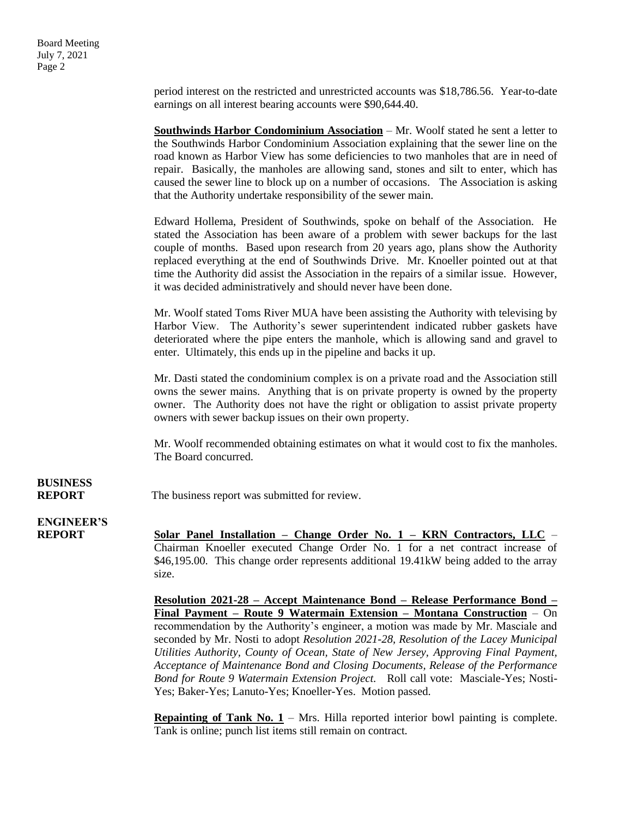**BUSINESS**

period interest on the restricted and unrestricted accounts was \$18,786.56. Year-to-date earnings on all interest bearing accounts were \$90,644.40.

**Southwinds Harbor Condominium Association** – Mr. Woolf stated he sent a letter to the Southwinds Harbor Condominium Association explaining that the sewer line on the road known as Harbor View has some deficiencies to two manholes that are in need of repair. Basically, the manholes are allowing sand, stones and silt to enter, which has caused the sewer line to block up on a number of occasions. The Association is asking that the Authority undertake responsibility of the sewer main. Edward Hollema, President of Southwinds, spoke on behalf of the Association. He stated the Association has been aware of a problem with sewer backups for the last couple of months. Based upon research from 20 years ago, plans show the Authority replaced everything at the end of Southwinds Drive. Mr. Knoeller pointed out at that time the Authority did assist the Association in the repairs of a similar issue. However, it was decided administratively and should never have been done. Mr. Woolf stated Toms River MUA have been assisting the Authority with televising by Harbor View. The Authority's sewer superintendent indicated rubber gaskets have deteriorated where the pipe enters the manhole, which is allowing sand and gravel to enter. Ultimately, this ends up in the pipeline and backs it up. Mr. Dasti stated the condominium complex is on a private road and the Association still owns the sewer mains. Anything that is on private property is owned by the property owner. The Authority does not have the right or obligation to assist private property owners with sewer backup issues on their own property. Mr. Woolf recommended obtaining estimates on what it would cost to fix the manholes. The Board concurred. **REPORT** The business report was submitted for review. **ENGINEER'S REPORT Solar Panel Installation – Change Order No. 1 – KRN Contractors, LLC** – Chairman Knoeller executed Change Order No. 1 for a net contract increase of \$46,195.00. This change order represents additional 19.41kW being added to the array size. **Resolution 2021-28 – Accept Maintenance Bond – Release Performance Bond – Final Payment – Route 9 Watermain Extension – Montana Construction** – On

recommendation by the Authority's engineer, a motion was made by Mr. Masciale and seconded by Mr. Nosti to adopt *Resolution 2021-28, Resolution of the Lacey Municipal Utilities Authority, County of Ocean, State of New Jersey, Approving Final Payment, Acceptance of Maintenance Bond and Closing Documents, Release of the Performance Bond for Route 9 Watermain Extension Project.* Roll call vote: Masciale-Yes; Nosti-Yes; Baker-Yes; Lanuto-Yes; Knoeller-Yes. Motion passed.

**Repainting of Tank No. 1** – Mrs. Hilla reported interior bowl painting is complete. Tank is online; punch list items still remain on contract.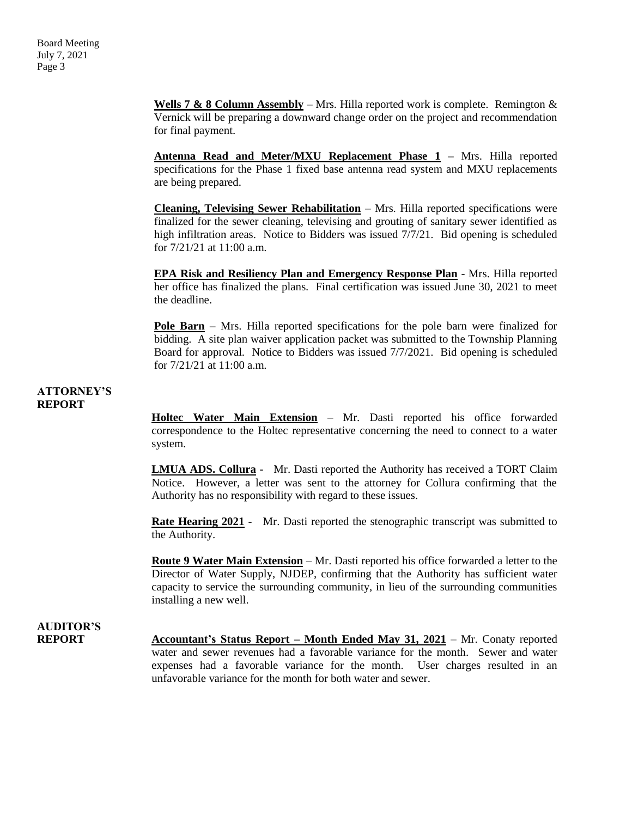**Wells 7 & 8 Column Assembly** – Mrs. Hilla reported work is complete. Remington & Vernick will be preparing a downward change order on the project and recommendation for final payment.

**Antenna Read and Meter/MXU Replacement Phase 1 –** Mrs. Hilla reported specifications for the Phase 1 fixed base antenna read system and MXU replacements are being prepared.

**Cleaning, Televising Sewer Rehabilitation** – Mrs. Hilla reported specifications were finalized for the sewer cleaning, televising and grouting of sanitary sewer identified as high infiltration areas. Notice to Bidders was issued 7/7/21. Bid opening is scheduled for 7/21/21 at 11:00 a.m.

**EPA Risk and Resiliency Plan and Emergency Response Plan** - Mrs. Hilla reported her office has finalized the plans. Final certification was issued June 30, 2021 to meet the deadline.

**Pole Barn** – Mrs. Hilla reported specifications for the pole barn were finalized for bidding. A site plan waiver application packet was submitted to the Township Planning Board for approval. Notice to Bidders was issued 7/7/2021. Bid opening is scheduled for 7/21/21 at 11:00 a.m.

#### **ATTORNEY'S REPORT**

**Holtec Water Main Extension** – Mr. Dasti reported his office forwarded correspondence to the Holtec representative concerning the need to connect to a water system.

**LMUA ADS. Collura** - Mr. Dasti reported the Authority has received a TORT Claim Notice. However, a letter was sent to the attorney for Collura confirming that the Authority has no responsibility with regard to these issues.

**Rate Hearing 2021** - Mr. Dasti reported the stenographic transcript was submitted to the Authority.

**Route 9 Water Main Extension** – Mr. Dasti reported his office forwarded a letter to the Director of Water Supply, NJDEP, confirming that the Authority has sufficient water capacity to service the surrounding community, in lieu of the surrounding communities installing a new well.

### **AUDITOR'S REPORT Accountant's Status Report – Month Ended May 31, 2021** – Mr. Conaty reported water and sewer revenues had a favorable variance for the month. Sewer and water expenses had a favorable variance for the month. User charges resulted in an unfavorable variance for the month for both water and sewer.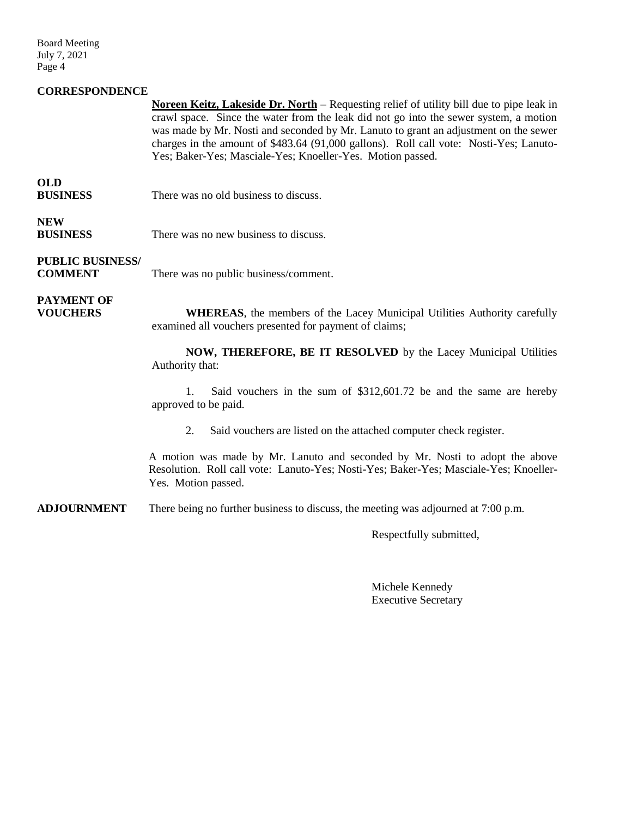Board Meeting July 7, 2021 Page 4

### **CORRESPONDENCE**

**Noreen Keitz, Lakeside Dr. North** – Requesting relief of utility bill due to pipe leak in crawl space. Since the water from the leak did not go into the sewer system, a motion was made by Mr. Nosti and seconded by Mr. Lanuto to grant an adjustment on the sewer charges in the amount of \$483.64 (91,000 gallons). Roll call vote: Nosti-Yes; Lanuto-Yes; Baker-Yes; Masciale-Yes; Knoeller-Yes. Motion passed.

### **OLD**

**BUSINESS** There was no old business to discuss.

## **NEW**

**BUSINESS** There was no new business to discuss.

## **PUBLIC BUSINESS/**

**COMMENT** There was no public business/comment.

# **PAYMENT OF**

**VOUCHERS WHEREAS**, the members of the Lacey Municipal Utilities Authority carefully examined all vouchers presented for payment of claims;

> **NOW, THEREFORE, BE IT RESOLVED** by the Lacey Municipal Utilities Authority that:

> 1. Said vouchers in the sum of \$312,601.72 be and the same are hereby approved to be paid.

2. Said vouchers are listed on the attached computer check register.

A motion was made by Mr. Lanuto and seconded by Mr. Nosti to adopt the above Resolution. Roll call vote: Lanuto-Yes; Nosti-Yes; Baker-Yes; Masciale-Yes; Knoeller-Yes. Motion passed.

**ADJOURNMENT** There being no further business to discuss, the meeting was adjourned at 7:00 p.m.

Respectfully submitted,

Michele Kennedy Executive Secretary